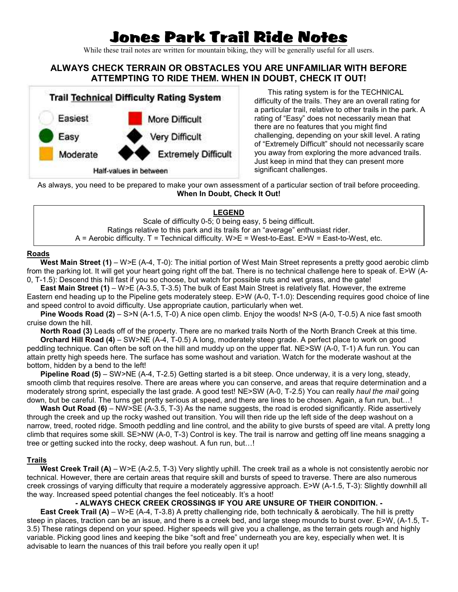# Jones Park Trail Ride Notes

While these trail notes are written for mountain biking, they will be generally useful for all users.

## **ALWAYS CHECK TERRAIN OR OBSTACLES YOU ARE UNFAMILIAR WITH BEFORE ATTEMPTING TO RIDE THEM. WHEN IN DOUBT, CHECK IT OUT!**



This rating system is for the TECHNICAL difficulty of the trails. They are an overall rating for a particular trail, relative to other trails in the park. A rating of "Easy" does not necessarily mean that there are no features that you might find challenging, depending on your skill level. A rating of "Extremely Difficult" should not necessarily scare you away from exploring the more advanced trails. Just keep in mind that they can present more significant challenges.

As always, you need to be prepared to make your own assessment of a particular section of trail before proceeding. **When In Doubt, Check It Out!**

### **LEGEND**

Scale of difficulty 0-5; 0 being easy, 5 being difficult. Ratings relative to this park and its trails for an "average" enthusiast rider. A = Aerobic difficulty. T = Technical difficulty. W>E = West-to-East. E>W = East-to-West, etc.

#### **Roads**

**West Main Street (1)** – W>E (A-4, T-0): The initial portion of West Main Street represents a pretty good aerobic climb from the parking lot. It will get your heart going right off the bat. There is no technical challenge here to speak of. E>W (A-0, T-1.5): Descend this hill fast if you so choose, but watch for possible ruts and wet grass, and the gate!

**East Main Street (1)** – W>E (A-3.5, T-3.5) The bulk of East Main Street is relatively flat. However, the extreme Eastern end heading up to the Pipeline gets moderately steep. E>W (A-0, T-1.0): Descending requires good choice of line and speed control to avoid difficulty. Use appropriate caution, particularly when wet.

**Pine Woods Road (2)** – S>N (A-1.5, T-0) A nice open climb. Enjoy the woods! N>S (A-0, T-0.5) A nice fast smooth cruise down the hill.

**North Road (3)** Leads off of the property. There are no marked trails North of the North Branch Creek at this time.

**Orchard Hill Road (4)** – SW>NE (A-4, T-0.5) A long, moderately steep grade. A perfect place to work on good peddling technique. Can often be soft on the hill and muddy up on the upper flat. NE>SW (A-0, T-1) A fun run. You can attain pretty high speeds here. The surface has some washout and variation. Watch for the moderate washout at the bottom, hidden by a bend to the left!

**Pipeline Road (5)** – SW>NE (A-4, T-2.5) Getting started is a bit steep. Once underway, it is a very long, steady, smooth climb that requires resolve. There are areas where you can conserve, and areas that require determination and a moderately strong sprint, especially the last grade. A good test! NE>SW (A-0, T-2.5) You can really *haul the mail* going down, but be careful. The turns get pretty serious at speed, and there are lines to be chosen. Again, a fun run, but...!

**Wash Out Road (6)** – NW>SE (A-3.5, T-3) As the name suggests, the road is eroded significantly. Ride assertively through the creek and up the rocky washed out transition. You will then ride up the left side of the deep washout on a narrow, treed, rooted ridge. Smooth peddling and line control, and the ability to give bursts of speed are vital. A pretty long climb that requires some skill. SE>NW (A-0, T-3) Control is key. The trail is narrow and getting off line means snagging a tree or getting sucked into the rocky, deep washout. A fun run, but...!

#### **Trails**

West Creek Trail (A) – W>E (A-2.5, T-3) Very slightly uphill. The creek trail as a whole is not consistently aerobic nor technical. However, there are certain areas that require skill and bursts of speed to traverse. There are also numerous creek crossings of varying difficulty that require a moderately aggressive approach. E>W (A-1.5, T-3): Slightly downhill all the way. Increased speed potential changes the feel noticeably. It's a hoot!

#### **- ALWAYS CHECK CREEK CROSSINGS IF YOU ARE UNSURE OF THEIR CONDITION. -**

**East Creek Trail (A)** – W>E (A-4, T-3.8) A pretty challenging ride, both technically & aerobically. The hill is pretty steep in places, traction can be an issue, and there is a creek bed, and large steep mounds to burst over. E>W, (A-1.5, T-3.5) These ratings depend on your speed. Higher speeds will give you a challenge, as the terrain gets rough and highly variable. Picking good lines and keeping the bike "soft and free" underneath you are key, especially when wet. It is advisable to learn the nuances of this trail before you really open it up!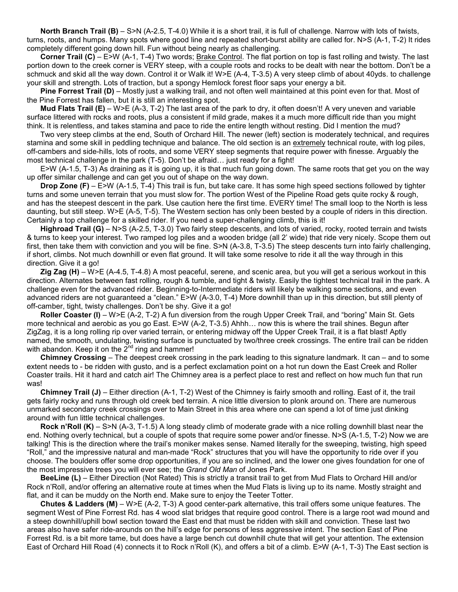**North Branch Trail (B)** – S>N (A-2.5, T-4.0) While it is a short trail, it is full of challenge. Narrow with lots of twists, turns, roots, and humps. Many spots where good line and repeated short-burst ability are called for. N>S (A-1, T-2) It rides completely different going down hill. Fun without being nearly as challenging.

**Corner Trail (C)** – E>W (A-1, T-4) Two words; Brake Control. The flat portion on top is fast rolling and twisty. The last portion down to the creek corner is VERY steep, with a couple roots and rocks to be dealt with near the bottom. Don't be a schmuck and skid all the way down. Control it or Walk it! W>E (A-4, T-3.5) A very steep climb of about 40yds. to challenge your skill and strength. Lots of traction, but a spongy Hemlock forest floor saps your energy a bit.

**Pine Forrest Trail (D)** – Mostly just a walking trail, and not often well maintained at this point even for that. Most of the Pine Forrest has fallen, but it is still an interesting spot.

**Mud Flats Trail (E)** – W>E (A-3, T-2) The last area of the park to dry, it often doesn't! A very uneven and variable surface littered with rocks and roots, plus a consistent if mild grade, makes it a much more difficult ride than you might think. It is relentless, and takes stamina and pace to ride the entire length without resting. Did I mention the mud?

Two very steep climbs at the end, South of Orchard Hill. The newer (left) section is moderately technical, and requires stamina and some skill in peddling technique and balance. The old section is an extremely technical route, with log piles, off-cambers and side-hills, lots of roots, and some VERY steep segments that require power with finesse. Arguably the most technical challenge in the park  $(T-5)$ . Don't be afraid... just ready for a fight!

E>W (A-1.5, T-3) As draining as it is going up, it is that much fun going down. The same roots that get you on the way up offer similar challenge and can get you out of shape on the way down.

**Drop Zone (F)** – E>W (A-1.5, T-4) This trail is fun, but take care. It has some high speed sections followed by tighter turns and some uneven terrain that you must slow for. The portion West of the Pipeline Road gets quite rocky & rough, and has the steepest descent in the park. Use caution here the first time. EVERY time! The small loop to the North is less daunting, but still steep. W>E (A-5, T-5). The Western section has only been bested by a couple of riders in this direction. Certainly a top challenge for a skilled rider. If you need a super-challenging climb, this is it!

**Highroad Trail (G)** – N>S (A-2.5, T-3.0) Two fairly steep descents, and lots of varied, rocky, rooted terrain and twists & turns to keep your interest. Two ramped log piles and a wooden bridge (all 2' wide) that ride very nicely. Scope them out first, then take them with conviction and you will be fine. S>N (A-3.8, T-3.5) The steep descents turn into fairly challenging, if short, climbs. Not much downhill or even flat ground. It will take some resolve to ride it all the way through in this direction. Give it a go!

**Zig Zag (H)** – W>E (A-4.5, T-4.8) A most peaceful, serene, and scenic area, but you will get a serious workout in this direction. Alternates between fast rolling, rough & tumble, and tight & twisty. Easily the tightest technical trail in the park. A challenge even for the advanced rider. Beginning-to-Intermediate riders will likely be walking some sections, and even advanced riders are not guaranteed a "clean." E>W (A-3.0, T-4) More downhill than up in this direction, but still plenty of off-camber, tight, twisty challenges. Don't be shy. Give it a go!

**Roller Coaster (I)** – W>E (A-2, T-2) A fun diversion from the rough Upper Creek Trail, and "boring" Main St. Gets more technical and aerobic as you go East. E $>W$  (A-2, T-3.5) Ahhh... now this is where the trail shines. Begun after ZigZag, it is a long rolling rip over varied terrain, or entering midway off the Upper Creek Trail, it is a flat blast! Aptly named, the smooth, undulating, twisting surface is punctuated by two/three creek crossings. The entire trail can be ridden with abandon. Keep it on the  $2^{nd}$  ring and hammer!

**Chimney Crossing** – The deepest creek crossing in the park leading to this signature landmark. It can – and to some extent needs to - be ridden with gusto, and is a perfect exclamation point on a hot run down the East Creek and Roller Coaster trails. Hit it hard and catch air! The Chimney area is a perfect place to rest and reflect on how much fun that run was!

**Chimney Trail (J)** – Either direction (A-1, T-2) West of the Chimney is fairly smooth and rolling. East of it, the trail gets fairly rocky and runs through old creek bed terrain. A nice little diversion to plonk around on. There are numerous unmarked secondary creek crossings over to Main Street in this area where one can spend a lot of time just dinking around with fun little technical challenges.

**Rock n'Roll (K)** – S>N (A-3, T-1.5) A long steady climb of moderate grade with a nice rolling downhill blast near the end. Nothing overly technical, but a couple of spots that require some power and/or finesse. N>S (A-1.5, T-2) Now we are talking! This is the direction where the trail's moniker makes sense. Named literally for the sweeping, twisting, high speed "Roll," and the impressive natural and man-made "Rock" structures that you will have the opportunity to ride over if you choose. The boulders offer some drop opportunities, if you are so inclined, and the lower one gives foundation for one of the most impressive trees you will ever see; the *Grand Old Man* of Jones Park.

**BeeLine (L)** – Either Direction (Not Rated) This is strictly a transit trail to get from Mud Flats to Orchard Hill and/or Rock n'Roll, and/or offering an alternative route at times when the Mud Flats is living up to its name. Mostly straight and flat, and it can be muddy on the North end. Make sure to enjoy the Teeter Totter.

**Chutes & Ladders (M)** – W>E (A-2, T-3) A good center-park alternative, this trail offers some unique features. The segment West of Pine Forrest Rd. has 4 wood slat bridges that require good control. There is a large root wad mound and a steep downhill/uphill bowl section toward the East end that must be ridden with skill and conviction. These last two areas also have safer ride-arounds on the hill's edge for persons of less aggressive intent. The section East of Pine Forrest Rd. is a bit more tame, but does have a large bench cut downhill chute that will get your attention. The extension East of Orchard Hill Road (4) connects it to Rock n'Roll (K), and offers a bit of a climb. E>W (A-1, T-3) The East section is